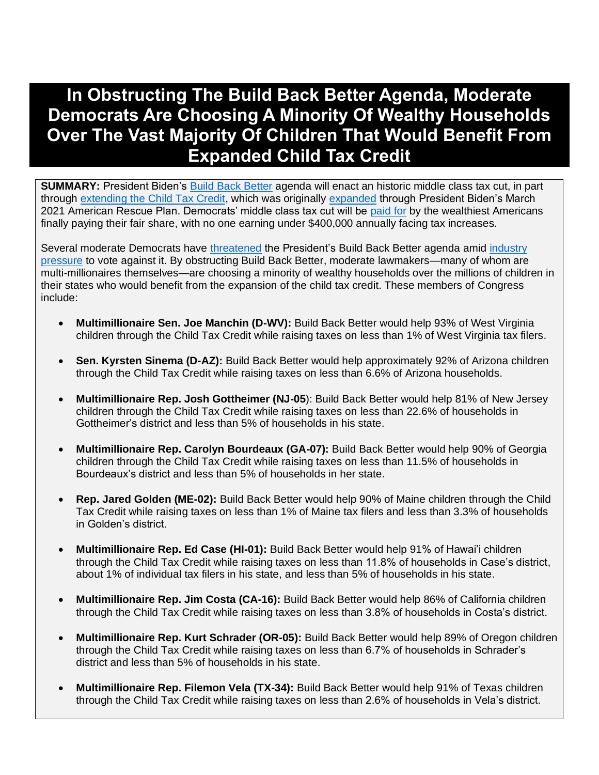# **In Obstructing The Build Back Better Agenda, Moderate Democrats Are Choosing A Minority Of Wealthy Households Over The Vast Majority Of Children That Would Benefit From Expanded Child Tax Credit**

**SUMMARY:** President Biden's [Build Back Better](https://www.whitehouse.gov/build-back-better/) agenda will enact an historic middle class tax cut, in part through [extending the Child Tax Credit,](https://www.cnbc.com/2021/09/13/house-democrats-propose-extending-expanded-child-tax-credit-to-2025.html) which was originally [expanded](https://www.whitehouse.gov/briefing-room/statements-releases/2021/06/11/fact-sheet-biden-harris-administration-announces-child-tax-credit-awareness-day-and-releases-guidance-for-unprecedented-american-rescue-plan-investments-to-support-parents-and-healthy-child-dev/) through President Biden's March 2021 American Rescue Plan. Democrats' middle class tax cut will be [paid for](https://twitter.com/POTUS/status/1437898861704581122) by the wealthiest Americans finally paying their fair share, with no one earning under \$400,000 annually facing tax increases.

Several moderate Democrats have [threatened](https://www.npr.org/2021/08/13/1027371749/moderate-house-democrats-infrastructure-budget-vote-pelosi) the President's Build Back Better agenda amid [industry](https://www.washingtonpost.com/us-policy/2021/08/31/business-lobbying-democrats-reconciliation/)  [pressure](https://www.washingtonpost.com/us-policy/2021/08/31/business-lobbying-democrats-reconciliation/) to vote against it. By obstructing Build Back Better, moderate lawmakers—many of whom are multi-millionaires themselves—are choosing a minority of wealthy households over the millions of children in their states who would benefit from the expansion of the child tax credit. These members of Congress include:

- **Multimillionaire Sen. Joe Manchin (D-WV):** Build Back Better would help 93% of West Virginia children through the Child Tax Credit while raising taxes on less than 1% of West Virginia tax filers.
- **Sen. Kyrsten Sinema (D-AZ):** Build Back Better would help approximately 92% of Arizona children through the Child Tax Credit while raising taxes on less than 6.6% of Arizona households.
- **Multimillionaire Rep. Josh Gottheimer (NJ-05**): Build Back Better would help 81% of New Jersey children through the Child Tax Credit while raising taxes on less than 22.6% of households in Gottheimer's district and less than 5% of households in his state.
- **Multimillionaire Rep. Carolyn Bourdeaux (GA-07):** Build Back Better would help 90% of Georgia children through the Child Tax Credit while raising taxes on less than 11.5% of households in Bourdeaux's district and less than 5% of households in her state.
- **Rep. Jared Golden (ME-02):** Build Back Better would help 90% of Maine children through the Child Tax Credit while raising taxes on less than 1% of Maine tax filers and less than 3.3% of households in Golden's district.
- **Multimillionaire Rep. Ed Case (HI-01):** Build Back Better would help 91% of Hawai'i children through the Child Tax Credit while raising taxes on less than 11.8% of households in Case's district, about 1% of individual tax filers in his state, and less than 5% of households in his state.
- **Multimillionaire Rep. Jim Costa (CA-16):** Build Back Better would help 86% of California children through the Child Tax Credit while raising taxes on less than 3.8% of households in Costa's district.
- **Multimillionaire Rep. Kurt Schrader (OR-05):** Build Back Better would help 89% of Oregon children through the Child Tax Credit while raising taxes on less than 6.7% of households in Schrader's district and less than 5% of households in his state.
- **Multimillionaire Rep. Filemon Vela (TX-34):** Build Back Better would help 91% of Texas children through the Child Tax Credit while raising taxes on less than 2.6% of households in Vela's district.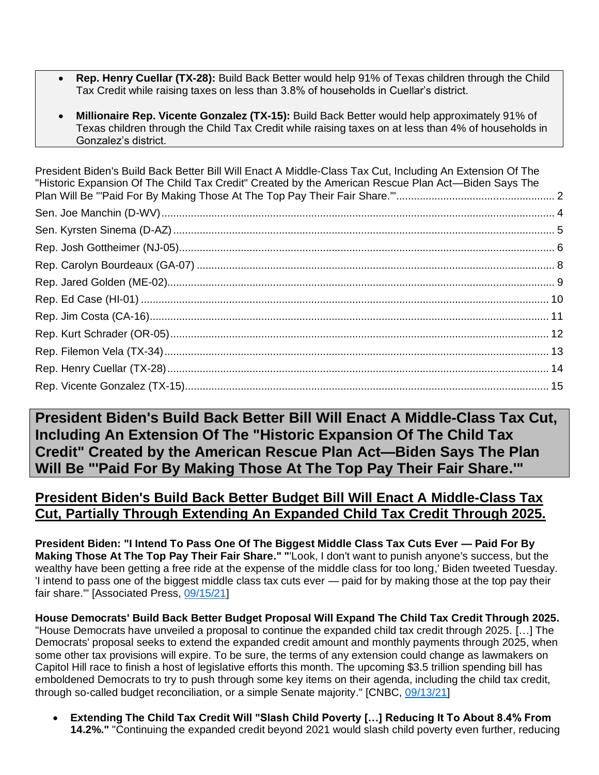- **Rep. Henry Cuellar (TX-28):** Build Back Better would help 91% of Texas children through the Child Tax Credit while raising taxes on less than 3.8% of households in Cuellar's district.
- **Millionaire Rep. Vicente Gonzalez (TX-15):** Build Back Better would help approximately 91% of Texas children through the Child Tax Credit while raising taxes on at less than 4% of households in Gonzalez's district.

[President Biden's Build Back Better Bill Will Enact A Middle-Class Tax Cut, Including An Extension Of The](#page-1-0)  ["Historic Expansion Of The Child Tax Credit" Created by the American Rescue Plan Act—Biden Says The](#page-1-0)  [Plan Will Be "'Paid For By Making Those At The Top Pay Their Fair Share.'"......................................................](#page-1-0) 2 [Sen. Joe Manchin \(D-WV\)......................................................................................................................................](#page-3-0) 4 [Sen. Kyrsten Sinema \(D-AZ\)..................................................................................................................................](#page-4-0) 5 [Rep. Josh Gottheimer \(NJ-05\)................................................................................................................................](#page-5-0) 6 Rep. Carolyn Bourdeaux (GA-07) [..........................................................................................................................](#page-7-0) 8 [Rep. Jared Golden \(ME-02\)....................................................................................................................................](#page-8-0) 9 Rep. Ed Case (HI-01) [...........................................................................................................................................](#page-9-0) 10 [Rep. Jim Costa \(CA-16\)........................................................................................................................................](#page-10-0) 11 [Rep. Kurt Schrader \(OR-05\).................................................................................................................................](#page-11-0) 12 [Rep. Filemon Vela \(TX-34\)...................................................................................................................................](#page-12-0) 13 [Rep. Henry Cuellar \(TX-28\)..................................................................................................................................](#page-13-0) 14 [Rep. Vicente Gonzalez \(TX-15\)............................................................................................................................](#page-14-0) 15

<span id="page-1-0"></span>**President Biden's Build Back Better Bill Will Enact A Middle-Class Tax Cut, Including An Extension Of The "Historic Expansion Of The Child Tax Credit" Created by the American Rescue Plan Act—Biden Says The Plan Will Be "'Paid For By Making Those At The Top Pay Their Fair Share.'"**

#### **President Biden's Build Back Better Budget Bill Will Enact A Middle-Class Tax Cut, Partially Through Extending An Expanded Child Tax Credit Through 2025.**

**President Biden: "I Intend To Pass One Of The Biggest Middle Class Tax Cuts Ever — Paid For By Making Those At The Top Pay Their Fair Share." "**'Look, I don't want to punish anyone's success, but the wealthy have been getting a free ride at the expense of the middle class for too long,' Biden tweeted Tuesday. 'I intend to pass one of the biggest middle class tax cuts ever — paid for by making those at the top pay their fair share.'" [Associated Press, [09/15/21\]](https://apnews.com/article/technology-joe-biden-business-personal-taxes-137e00b41f113f85cc241438c780785b)

**House Democrats' Build Back Better Budget Proposal Will Expand The Child Tax Credit Through 2025.**  "House Democrats have unveiled a proposal to continue the expanded child tax credit through 2025. […] The Democrats' proposal seeks to extend the expanded credit amount and monthly payments through 2025, when some other tax provisions will expire. To be sure, the terms of any extension could change as lawmakers on Capitol Hill race to finish a host of legislative efforts this month. The upcoming \$3.5 trillion spending bill has emboldened Democrats to try to push through some key items on their agenda, including the child tax credit, through so-called budget reconciliation, or a simple Senate majority." [CNBC, [09/13/21\]](https://www.cnbc.com/2021/09/13/house-democrats-propose-extending-expanded-child-tax-credit-to-2025.html)

• **Extending The Child Tax Credit Will "Slash Child Poverty […] Reducing It To About 8.4% From 14.2%."** "Continuing the expanded credit beyond 2021 would slash child poverty even further, reducing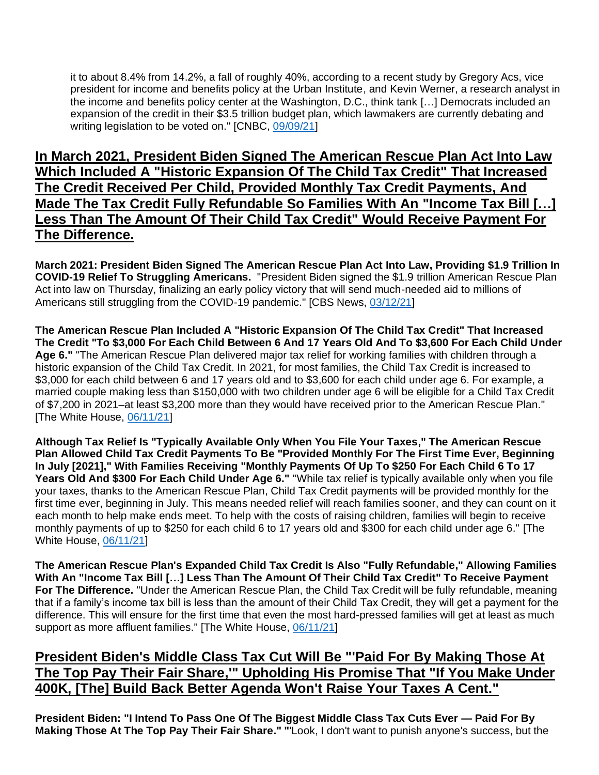it to about 8.4% from 14.2%, a fall of roughly 40%, according to a recent study by Gregory Acs, vice president for income and benefits policy at the Urban Institute, and Kevin Werner, a research analyst in the income and benefits policy center at the Washington, D.C., think tank […] Democrats included an expansion of the credit in their \$3.5 trillion budget plan, which lawmakers are currently debating and writing legislation to be voted on." [CNBC, [09/09/21\]](https://www.cnbc.com/2021/09/09/expanded-child-tax-credit-could-put-poverty-under-10percent-in-most-states.html)

### **In March 2021, President Biden Signed The American Rescue Plan Act Into Law Which Included A "Historic Expansion Of The Child Tax Credit" That Increased The Credit Received Per Child, Provided Monthly Tax Credit Payments, And Made The Tax Credit Fully Refundable So Families With An "Income Tax Bill […] Less Than The Amount Of Their Child Tax Credit" Would Receive Payment For The Difference.**

**March 2021: President Biden Signed The American Rescue Plan Act Into Law, Providing \$1.9 Trillion In COVID-19 Relief To Struggling Americans.** "President Biden signed the \$1.9 trillion American Rescue Plan Act into law on Thursday, finalizing an early policy victory that will send much-needed aid to millions of Americans still struggling from the COVID-19 pandemic." [CBS News, [03/12/21\]](https://www.cbsnews.com/news/biden-signs-covid-relief-bill-american-rescue-plan-into-law/)

**The American Rescue Plan Included A "Historic Expansion Of The Child Tax Credit" That Increased The Credit "To \$3,000 For Each Child Between 6 And 17 Years Old And To \$3,600 For Each Child Under Age 6."** "The American Rescue Plan delivered major tax relief for working families with children through a historic expansion of the Child Tax Credit. In 2021, for most families, the Child Tax Credit is increased to \$3,000 for each child between 6 and 17 years old and to \$3,600 for each child under age 6. For example, a married couple making less than \$150,000 with two children under age 6 will be eligible for a Child Tax Credit of \$7,200 in 2021–at least \$3,200 more than they would have received prior to the American Rescue Plan." [The White House, [06/11/21\]](https://www.whitehouse.gov/briefing-room/statements-releases/2021/06/11/fact-sheet-biden-harris-administration-announces-child-tax-credit-awareness-day-and-releases-guidance-for-unprecedented-american-rescue-plan-investments-to-support-parents-and-healthy-child-dev/)

**Although Tax Relief Is "Typically Available Only When You File Your Taxes," The American Rescue Plan Allowed Child Tax Credit Payments To Be "Provided Monthly For The First Time Ever, Beginning In July [2021]," With Families Receiving "Monthly Payments Of Up To \$250 For Each Child 6 To 17 Years Old And \$300 For Each Child Under Age 6."** "While tax relief is typically available only when you file your taxes, thanks to the American Rescue Plan, Child Tax Credit payments will be provided monthly for the first time ever, beginning in July. This means needed relief will reach families sooner, and they can count on it each month to help make ends meet. To help with the costs of raising children, families will begin to receive monthly payments of up to \$250 for each child 6 to 17 years old and \$300 for each child under age 6." [The White House, [06/11/21\]](https://www.whitehouse.gov/briefing-room/statements-releases/2021/06/11/fact-sheet-biden-harris-administration-announces-child-tax-credit-awareness-day-and-releases-guidance-for-unprecedented-american-rescue-plan-investments-to-support-parents-and-healthy-child-dev/)

**The American Rescue Plan's Expanded Child Tax Credit Is Also "Fully Refundable," Allowing Families With An "Income Tax Bill […] Less Than The Amount Of Their Child Tax Credit" To Receive Payment For The Difference.** "Under the American Rescue Plan, the Child Tax Credit will be fully refundable, meaning that if a family's income tax bill is less than the amount of their Child Tax Credit, they will get a payment for the difference. This will ensure for the first time that even the most hard-pressed families will get at least as much support as more affluent families." [The White House, [06/11/21\]](https://www.whitehouse.gov/briefing-room/statements-releases/2021/06/11/fact-sheet-biden-harris-administration-announces-child-tax-credit-awareness-day-and-releases-guidance-for-unprecedented-american-rescue-plan-investments-to-support-parents-and-healthy-child-dev/)

### **President Biden's Middle Class Tax Cut Will Be "'Paid For By Making Those At The Top Pay Their Fair Share,'" Upholding His Promise That "If You Make Under 400K, [The] Build Back Better Agenda Won't Raise Your Taxes A Cent."**

**President Biden: "I Intend To Pass One Of The Biggest Middle Class Tax Cuts Ever — Paid For By Making Those At The Top Pay Their Fair Share." "**'Look, I don't want to punish anyone's success, but the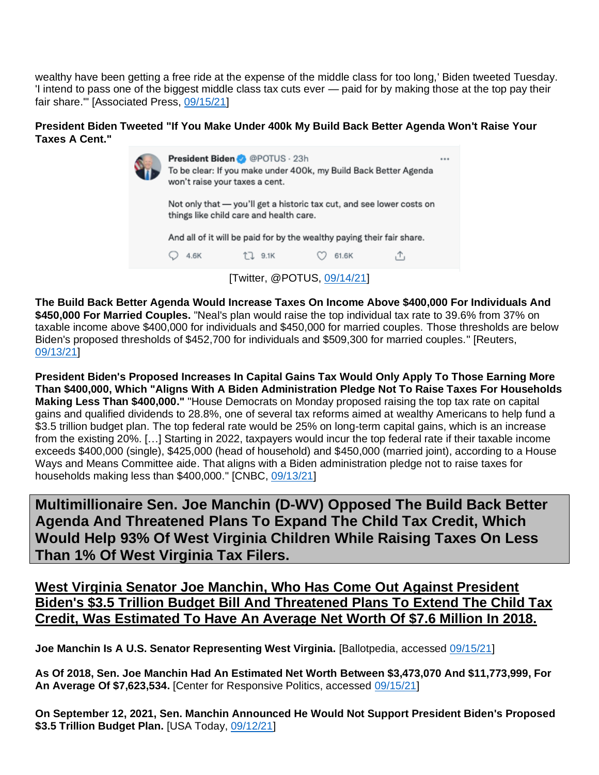wealthy have been getting a free ride at the expense of the middle class for too long,' Biden tweeted Tuesday. 'I intend to pass one of the biggest middle class tax cuts ever — paid for by making those at the top pay their fair share.'" [Associated Press, [09/15/21\]](https://apnews.com/article/technology-joe-biden-business-personal-taxes-137e00b41f113f85cc241438c780785b)

#### **President Biden Tweeted "If You Make Under 400k My Build Back Better Agenda Won't Raise Your Taxes A Cent."**

|                             | President Biden @POTUS · 23h<br>To be clear: If you make under 400k, my Build Back Better Agenda<br>won't raise your taxes a cent.<br>Not only that - you'll get a historic tax cut, and see lower costs on<br>things like child care and health care.<br>And all of it will be paid for by the wealthy paying their fair share. |         |       |  | *** |
|-----------------------------|----------------------------------------------------------------------------------------------------------------------------------------------------------------------------------------------------------------------------------------------------------------------------------------------------------------------------------|---------|-------|--|-----|
|                             |                                                                                                                                                                                                                                                                                                                                  |         |       |  |     |
|                             |                                                                                                                                                                                                                                                                                                                                  |         |       |  |     |
|                             | 4.6K                                                                                                                                                                                                                                                                                                                             | T. 9.1K | 61.6K |  |     |
| [Twitter, @POTUS, 09/14/21] |                                                                                                                                                                                                                                                                                                                                  |         |       |  |     |

**The Build Back Better Agenda Would Increase Taxes On Income Above \$400,000 For Individuals And \$450,000 For Married Couples.** "Neal's plan would raise the top individual tax rate to 39.6% from 37% on taxable income above \$400,000 for individuals and \$450,000 for married couples. Those thresholds are below Biden's proposed thresholds of \$452,700 for individuals and \$509,300 for married couples." [Reuters, [09/13/21\]](https://www.reuters.com/world/us/us-house-democrats-seek-corporate-tax-increase-265-percent-2021-09-13/)

**President Biden's Proposed Increases In Capital Gains Tax Would Only Apply To Those Earning More Than \$400,000, Which "Aligns With A Biden Administration Pledge Not To Raise Taxes For Households Making Less Than \$400,000."** "House Democrats on Monday proposed raising the top tax rate on capital gains and qualified dividends to 28.8%, one of several tax reforms aimed at wealthy Americans to help fund a \$3.5 trillion budget plan. The top federal rate would be 25% on long-term capital gains, which is an increase from the existing 20%. […] Starting in 2022, taxpayers would incur the top federal rate if their taxable income exceeds \$400,000 (single), \$425,000 (head of household) and \$450,000 (married joint), according to a House Ways and Means Committee aide. That aligns with a Biden administration pledge not to raise taxes for households making less than \$400,000." [CNBC, [09/13/21\]](https://www.cnbc.com/2021/09/13/house-democrats-propose-hiking-capital-gains-tax-to-28point8percent-.html)

<span id="page-3-0"></span>**Multimillionaire Sen. Joe Manchin (D-WV) Opposed The Build Back Better Agenda And Threatened Plans To Expand The Child Tax Credit, Which Would Help 93% Of West Virginia Children While Raising Taxes On Less Than 1% Of West Virginia Tax Filers.**

**West Virginia Senator Joe Manchin, Who Has Come Out Against President Biden's \$3.5 Trillion Budget Bill And Threatened Plans To Extend The Child Tax Credit, Was Estimated To Have An Average Net Worth Of \$7.6 Million In 2018.**

**Joe Manchin Is A U.S. Senator Representing West Virginia.** [Ballotpedia, accessed [09/15/21\]](https://ballotpedia.org/Joe_Manchin_III)

**As Of 2018, Sen. Joe Manchin Had An Estimated Net Worth Between \$3,473,070 And \$11,773,999, For An Average Of \$7,623,534.** [Center for Responsive Politics, accessed [09/15/21\]](https://www.opensecrets.org/personal-finances/top-net-worth)

**On September 12, 2021, Sen. Manchin Announced He Would Not Support President Biden's Proposed**  \$3.5 Trillion Budget Plan. [USA Today, [09/12/21\]](https://www.usatoday.com/story/news/politics/2021/09/12/joe-manchin-wont-vote-3-5-t-reconciliation-bill/8308213002/)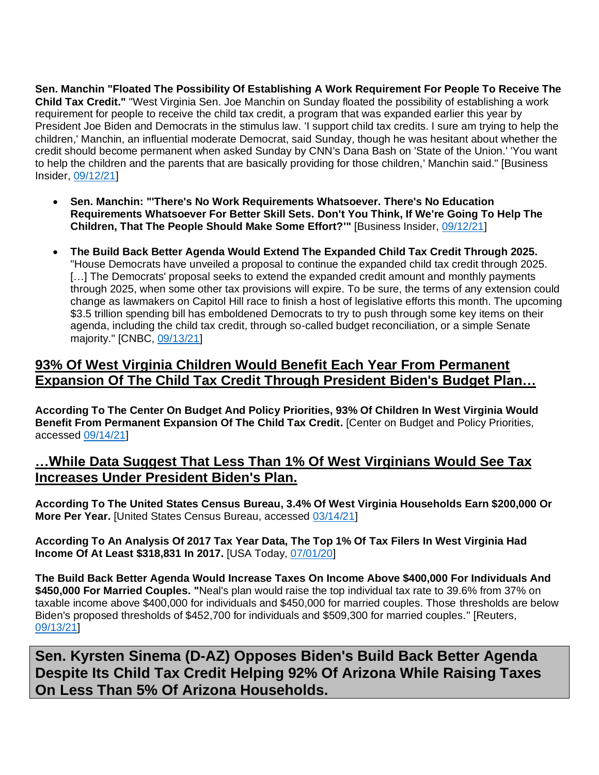**Sen. Manchin "Floated The Possibility Of Establishing A Work Requirement For People To Receive The Child Tax Credit."** "West Virginia Sen. Joe Manchin on Sunday floated the possibility of establishing a work requirement for people to receive the child tax credit, a program that was expanded earlier this year by President Joe Biden and Democrats in the stimulus law. 'I support child tax credits. I sure am trying to help the children,' Manchin, an influential moderate Democrat, said Sunday, though he was hesitant about whether the credit should become permanent when asked Sunday by CNN's Dana Bash on 'State of the Union.' 'You want to help the children and the parents that are basically providing for those children,' Manchin said." [Business Insider, [09/12/21\]](https://www.businessinsider.com/manchin-suggests-work-requirement-for-biden-child-tax-credit-2021-9)

- **Sen. Manchin: "'There's No Work Requirements Whatsoever. There's No Education Requirements Whatsoever For Better Skill Sets. Don't You Think, If We're Going To Help The Children, That The People Should Make Some Effort?'"** [Business Insider, [09/12/21\]](https://www.businessinsider.com/manchin-suggests-work-requirement-for-biden-child-tax-credit-2021-9)
- **The Build Back Better Agenda Would Extend The Expanded Child Tax Credit Through 2025.**  "House Democrats have unveiled a proposal to continue the expanded child tax credit through 2025. [...] The Democrats' proposal seeks to extend the expanded credit amount and monthly payments through 2025, when some other tax provisions will expire. To be sure, the terms of any extension could change as lawmakers on Capitol Hill race to finish a host of legislative efforts this month. The upcoming \$3.5 trillion spending bill has emboldened Democrats to try to push through some key items on their agenda, including the child tax credit, through so-called budget reconciliation, or a simple Senate majority." [CNBC, [09/13/21\]](https://www.cnbc.com/2021/09/13/house-democrats-propose-extending-expanded-child-tax-credit-to-2025.html)

### **93% Of West Virginia Children Would Benefit Each Year From Permanent Expansion Of The Child Tax Credit Through President Biden's Budget Plan…**

**According To The Center On Budget And Policy Priorities, 93% Of Children In West Virginia Would Benefit From Permanent Expansion Of The Child Tax Credit.** [Center on Budget and Policy Priorities, accessed [09/14/21\]](https://www.cbpp.org/research/federal-tax/congress-should-adopt-american-families-plans-permanent-expansions-of-child)

### **…While Data Suggest That Less Than 1% Of West Virginians Would See Tax Increases Under President Biden's Plan.**

**According To The United States Census Bureau, 3.4% Of West Virginia Households Earn \$200,000 Or More Per Year.** [United States Census Bureau, accessed [03/14/21\]](https://data.census.gov/cedsci/table?q=west%20virginia&t=Income%20%28Households,%20Families,%20Individuals%29&tid=ACSST1Y2019.S1901)

**According To An Analysis Of 2017 Tax Year Data, The Top 1% Of Tax Filers In West Virginia Had Income Of At Least \$318,831 In 2017.** [USA Today, [07/01/20\]](https://www.usatoday.com/story/money/2020/07/01/how-much-you-need-to-make-to-be-in-the-1-in-every-state/112002276/)

**The Build Back Better Agenda Would Increase Taxes On Income Above \$400,000 For Individuals And \$450,000 For Married Couples. "**Neal's plan would raise the top individual tax rate to 39.6% from 37% on taxable income above \$400,000 for individuals and \$450,000 for married couples. Those thresholds are below Biden's proposed thresholds of \$452,700 for individuals and \$509,300 for married couples." [Reuters, [09/13/21\]](https://www.reuters.com/world/us/us-house-democrats-seek-corporate-tax-increase-265-percent-2021-09-13/)

<span id="page-4-0"></span>**Sen. Kyrsten Sinema (D-AZ) Opposes Biden's Build Back Better Agenda Despite Its Child Tax Credit Helping 92% Of Arizona While Raising Taxes On Less Than 5% Of Arizona Households.**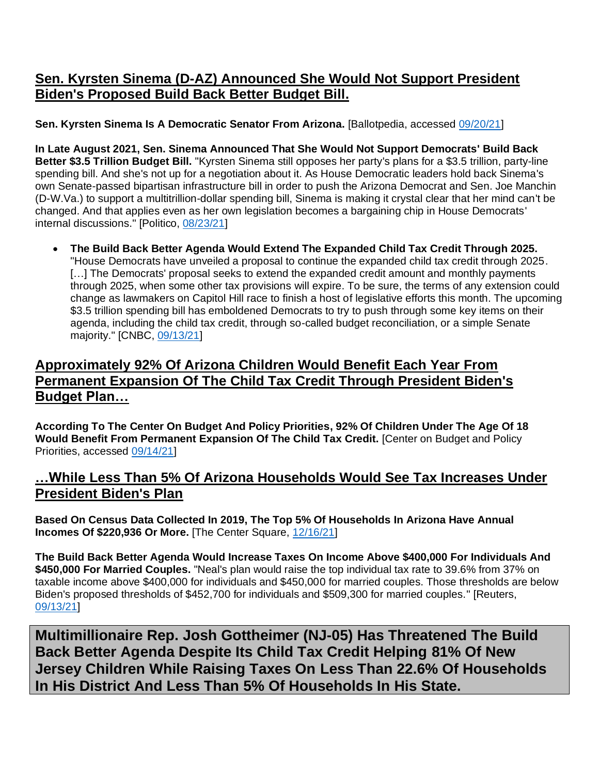### **Sen. Kyrsten Sinema (D-AZ) Announced She Would Not Support President Biden's Proposed Build Back Better Budget Bill.**

**Sen. Kyrsten Sinema Is A Democratic Senator From Arizona.** [Ballotpedia, accessed [09/20/21\]](https://ballotpedia.org/Kyrsten_Sinema)

**In Late August 2021, Sen. Sinema Announced That She Would Not Support Democrats' Build Back Better \$3.5 Trillion Budget Bill.** "Kyrsten Sinema still opposes her party's plans for a \$3.5 trillion, party-line spending bill. And she's not up for a negotiation about it. As House Democratic leaders hold back Sinema's own Senate-passed bipartisan infrastructure bill in order to push the Arizona Democrat and Sen. Joe Manchin (D-W.Va.) to support a multitrillion-dollar spending bill, Sinema is making it crystal clear that her mind can't be changed. And that applies even as her own legislation becomes a bargaining chip in House Democrats' internal discussions." [Politico, [08/23/21\]](https://www.politico.com/news/2021/08/23/sinema-35t-spending-bill-506583)

• **The Build Back Better Agenda Would Extend The Expanded Child Tax Credit Through 2025.**  "House Democrats have unveiled a proposal to continue the expanded child tax credit through 2025. [...] The Democrats' proposal seeks to extend the expanded credit amount and monthly payments through 2025, when some other tax provisions will expire. To be sure, the terms of any extension could change as lawmakers on Capitol Hill race to finish a host of legislative efforts this month. The upcoming \$3.5 trillion spending bill has emboldened Democrats to try to push through some key items on their agenda, including the child tax credit, through so-called budget reconciliation, or a simple Senate majority." [CNBC, [09/13/21\]](https://www.cnbc.com/2021/09/13/house-democrats-propose-extending-expanded-child-tax-credit-to-2025.html)

### **Approximately 92% Of Arizona Children Would Benefit Each Year From Permanent Expansion Of The Child Tax Credit Through President Biden's Budget Plan…**

**According To The Center On Budget And Policy Priorities, 92% Of Children Under The Age Of 18 Would Benefit From Permanent Expansion Of The Child Tax Credit.** [Center on Budget and Policy Priorities, accessed [09/14/21\]](https://www.cbpp.org/research/federal-tax/congress-should-adopt-american-families-plans-permanent-expansions-of-child)

### **…While Less Than 5% Of Arizona Households Would See Tax Increases Under President Biden's Plan**

**Based On Census Data Collected In 2019, The Top 5% Of Households In Arizona Have Annual Incomes Of \$220,936 Or More.** [The Center Square, [12/16/21\]](https://www.thecentersquare.com/new_hampshire/new-hampshire-households-must-make-at-least-145-865-to-be-in-state-s-top/article_d1aa9d1e-39d3-11eb-86a4-3f0b19256c51.html)

**The Build Back Better Agenda Would Increase Taxes On Income Above \$400,000 For Individuals And \$450,000 For Married Couples.** "Neal's plan would raise the top individual tax rate to 39.6% from 37% on taxable income above \$400,000 for individuals and \$450,000 for married couples. Those thresholds are below Biden's proposed thresholds of \$452,700 for individuals and \$509,300 for married couples." [Reuters, [09/13/21\]](https://www.reuters.com/world/us/us-house-democrats-seek-corporate-tax-increase-265-percent-2021-09-13/)

<span id="page-5-0"></span>**Multimillionaire Rep. Josh Gottheimer (NJ-05) Has Threatened The Build Back Better Agenda Despite Its Child Tax Credit Helping 81% Of New Jersey Children While Raising Taxes On Less Than 22.6% Of Households In His District And Less Than 5% Of Households In His State.**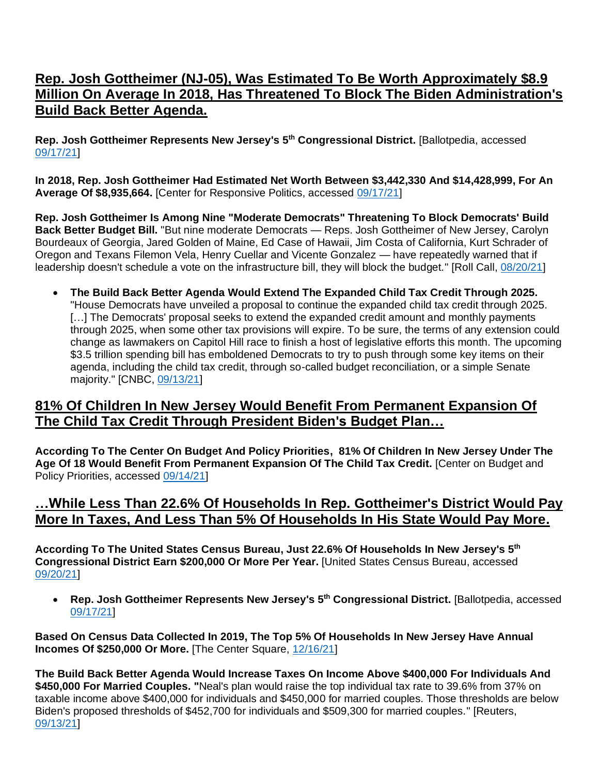### **Rep. Josh Gottheimer (NJ-05), Was Estimated To Be Worth Approximately \$8.9 Million On Average In 2018, Has Threatened To Block The Biden Administration's Build Back Better Agenda.**

**Rep. Josh Gottheimer Represents New Jersey's 5 th Congressional District.** [Ballotpedia, accessed [09/17/21\]](https://ballotpedia.org/Josh_Gottheimer)

**In 2018, Rep. Josh Gottheimer Had Estimated Net Worth Between \$3,442,330 And \$14,428,999, For An Average Of \$8,935,664.** [Center for Responsive Politics, accessed [09/17/21\]](https://www.opensecrets.org/personal-finances/top-net-worth)

**Rep. Josh Gottheimer Is Among Nine "Moderate Democrats" Threatening To Block Democrats' Build Back Better Budget Bill.** "But nine moderate Democrats — Reps. Josh Gottheimer of New Jersey, Carolyn Bourdeaux of Georgia, Jared Golden of Maine, Ed Case of Hawaii, Jim Costa of California, Kurt Schrader of Oregon and Texans Filemon Vela, Henry Cuellar and Vicente Gonzalez — have repeatedly warned that if leadership doesn't schedule a vote on the infrastructure bill, they will block the budget." [Roll Call, [08/20/21\]](https://www.rollcall.com/2021/08/20/nine-democrats-hold-firm-on-opposing-budget-without-infrastructure-vote-first/)

• **The Build Back Better Agenda Would Extend The Expanded Child Tax Credit Through 2025.**  "House Democrats have unveiled a proposal to continue the expanded child tax credit through 2025. [...] The Democrats' proposal seeks to extend the expanded credit amount and monthly payments through 2025, when some other tax provisions will expire. To be sure, the terms of any extension could change as lawmakers on Capitol Hill race to finish a host of legislative efforts this month. The upcoming \$3.5 trillion spending bill has emboldened Democrats to try to push through some key items on their agenda, including the child tax credit, through so-called budget reconciliation, or a simple Senate majority." [CNBC, [09/13/21\]](https://www.cnbc.com/2021/09/13/house-democrats-propose-extending-expanded-child-tax-credit-to-2025.html)

### **81% Of Children In New Jersey Would Benefit From Permanent Expansion Of The Child Tax Credit Through President Biden's Budget Plan…**

**According To The Center On Budget And Policy Priorities, 81% Of Children In New Jersey Under The Age Of 18 Would Benefit From Permanent Expansion Of The Child Tax Credit.** [Center on Budget and Policy Priorities, accessed [09/14/21\]](https://www.cbpp.org/research/federal-tax/congress-should-adopt-american-families-plans-permanent-expansions-of-child)

#### **…While Less Than 22.6% Of Households In Rep. Gottheimer's District Would Pay More In Taxes, And Less Than 5% Of Households In His State Would Pay More.**

**According To The United States Census Bureau, Just 22.6% Of Households In New Jersey's 5 th Congressional District Earn \$200,000 Or More Per Year.** [United States Census Bureau, accessed [09/20/21\]](https://data.census.gov/cedsci/table?t=Income%20and%20Poverty&g=5001600US3405&tid=ACSST1Y2019.S1901&hidePreview=true)

• **Rep. Josh Gottheimer Represents New Jersey's 5 th Congressional District.** [Ballotpedia, accessed [09/17/21\]](https://ballotpedia.org/Josh_Gottheimer)

**Based On Census Data Collected In 2019, The Top 5% Of Households In New Jersey Have Annual Incomes Of \$250,000 Or More.** [The Center Square, [12/16/21\]](https://www.thecentersquare.com/new_hampshire/new-hampshire-households-must-make-at-least-145-865-to-be-in-state-s-top/article_d1aa9d1e-39d3-11eb-86a4-3f0b19256c51.html)

**The Build Back Better Agenda Would Increase Taxes On Income Above \$400,000 For Individuals And \$450,000 For Married Couples. "**Neal's plan would raise the top individual tax rate to 39.6% from 37% on taxable income above \$400,000 for individuals and \$450,000 for married couples. Those thresholds are below Biden's proposed thresholds of \$452,700 for individuals and \$509,300 for married couples." [Reuters, [09/13/21\]](https://www.reuters.com/world/us/us-house-democrats-seek-corporate-tax-increase-265-percent-2021-09-13/)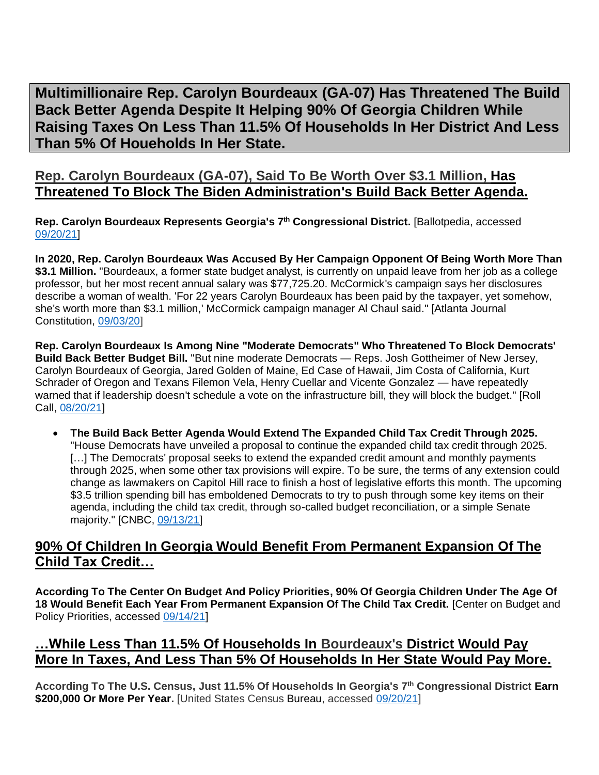<span id="page-7-0"></span>**Multimillionaire Rep. Carolyn Bourdeaux (GA-07) Has Threatened The Build Back Better Agenda Despite It Helping 90% Of Georgia Children While Raising Taxes On Less Than 11.5% Of Households In Her District And Less Than 5% Of Houeholds In Her State.**

### **Rep. Carolyn Bourdeaux (GA-07), Said To Be Worth Over \$3.1 Million, Has Threatened To Block The Biden Administration's Build Back Better Agenda.**

**Rep. Carolyn Bourdeaux Represents Georgia's 7th Congressional District.** [Ballotpedia, accessed [09/20/21\]](https://ballotpedia.org/Carolyn_Bourdeaux)

**In 2020, Rep. Carolyn Bourdeaux Was Accused By Her Campaign Opponent Of Being Worth More Than \$3.1 Million.** "Bourdeaux, a former state budget analyst, is currently on unpaid leave from her job as a college professor, but her most recent annual salary was \$77,725.20. McCormick's campaign says her disclosures describe a woman of wealth. 'For 22 years Carolyn Bourdeaux has been paid by the taxpayer, yet somehow, she's worth more than \$3.1 million,' McCormick campaign manager Al Chaul said." [Atlanta Journal Constitution, [09/03/20\]](https://www.ajc.com/politics/election/disclosures-expose-candidates-finances-sometimes-aid-rivals/KS62IIIDGFCILDI4WRQJKCXJQA/)

**Rep. Carolyn Bourdeaux Is Among Nine "Moderate Democrats" Who Threatened To Block Democrats' Build Back Better Budget Bill.** "But nine moderate Democrats — Reps. Josh Gottheimer of New Jersey, Carolyn Bourdeaux of Georgia, Jared Golden of Maine, Ed Case of Hawaii, Jim Costa of California, Kurt Schrader of Oregon and Texans Filemon Vela, Henry Cuellar and Vicente Gonzalez — have repeatedly warned that if leadership doesn't schedule a vote on the infrastructure bill, they will block the budget." [Roll Call, [08/20/21\]](https://www.rollcall.com/2021/08/20/nine-democrats-hold-firm-on-opposing-budget-without-infrastructure-vote-first/)

• **The Build Back Better Agenda Would Extend The Expanded Child Tax Credit Through 2025.**  "House Democrats have unveiled a proposal to continue the expanded child tax credit through 2025. [...] The Democrats' proposal seeks to extend the expanded credit amount and monthly payments through 2025, when some other tax provisions will expire. To be sure, the terms of any extension could change as lawmakers on Capitol Hill race to finish a host of legislative efforts this month. The upcoming \$3.5 trillion spending bill has emboldened Democrats to try to push through some key items on their agenda, including the child tax credit, through so-called budget reconciliation, or a simple Senate majority." [CNBC, [09/13/21\]](https://www.cnbc.com/2021/09/13/house-democrats-propose-extending-expanded-child-tax-credit-to-2025.html)

### **90% Of Children In Georgia Would Benefit From Permanent Expansion Of The Child Tax Credit…**

**According To The Center On Budget And Policy Priorities, 90% Of Georgia Children Under The Age Of 18 Would Benefit Each Year From Permanent Expansion Of The Child Tax Credit.** [Center on Budget and Policy Priorities, accessed [09/14/21\]](https://www.cbpp.org/research/federal-tax/congress-should-adopt-american-families-plans-permanent-expansions-of-child)

### **…While Less Than 11.5% Of Households In Bourdeaux's District Would Pay More In Taxes, And Less Than 5% Of Households In Her State Would Pay More.**

**According To The U.S. Census, Just 11.5% Of Households In Georgia's 7th Congressional District Earn \$200,000 Or More Per Year.** [United States Census Bureau, accessed [09/20/21\]](https://data.census.gov/cedsci/table?t=Income%20and%20Poverty&g=5001600US1307&tid=ACSST1Y2019.S1901&hidePreview=true)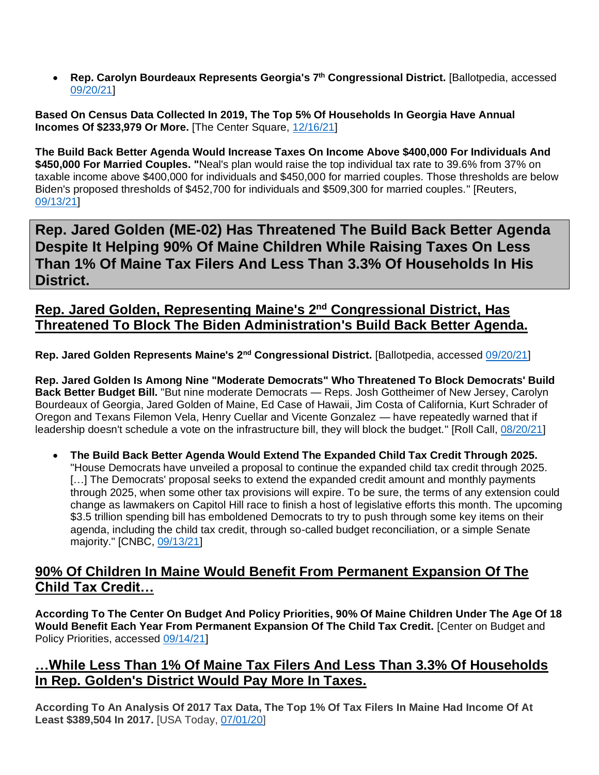• **Rep. Carolyn Bourdeaux Represents Georgia's 7th Congressional District.** [Ballotpedia, accessed [09/20/21\]](https://ballotpedia.org/Carolyn_Bourdeaux)

**Based On Census Data Collected In 2019, The Top 5% Of Households In Georgia Have Annual Incomes Of \$233,979 Or More.** [The Center Square, [12/16/21\]](https://www.thecentersquare.com/new_hampshire/new-hampshire-households-must-make-at-least-145-865-to-be-in-state-s-top/article_d1aa9d1e-39d3-11eb-86a4-3f0b19256c51.html)

**The Build Back Better Agenda Would Increase Taxes On Income Above \$400,000 For Individuals And \$450,000 For Married Couples. "**Neal's plan would raise the top individual tax rate to 39.6% from 37% on taxable income above \$400,000 for individuals and \$450,000 for married couples. Those thresholds are below Biden's proposed thresholds of \$452,700 for individuals and \$509,300 for married couples." [Reuters, [09/13/21\]](https://www.reuters.com/world/us/us-house-democrats-seek-corporate-tax-increase-265-percent-2021-09-13/)

<span id="page-8-0"></span>**Rep. Jared Golden (ME-02) Has Threatened The Build Back Better Agenda Despite It Helping 90% Of Maine Children While Raising Taxes On Less Than 1% Of Maine Tax Filers And Less Than 3.3% Of Households In His District.**

### **Rep. Jared Golden, Representing Maine's 2 nd Congressional District, Has Threatened To Block The Biden Administration's Build Back Better Agenda.**

Rep. Jared Golden Represents Maine's 2<sup>nd</sup> Congressional District. [Ballotpedia, accessed [09/20/21\]](https://ballotpedia.org/Jared_Golden)

**Rep. Jared Golden Is Among Nine "Moderate Democrats" Who Threatened To Block Democrats' Build Back Better Budget Bill.** "But nine moderate Democrats — Reps. Josh Gottheimer of New Jersey, Carolyn Bourdeaux of Georgia, Jared Golden of Maine, Ed Case of Hawaii, Jim Costa of California, Kurt Schrader of Oregon and Texans Filemon Vela, Henry Cuellar and Vicente Gonzalez — have repeatedly warned that if leadership doesn't schedule a vote on the infrastructure bill, they will block the budget." [Roll Call, [08/20/21\]](https://www.rollcall.com/2021/08/20/nine-democrats-hold-firm-on-opposing-budget-without-infrastructure-vote-first/)

• **The Build Back Better Agenda Would Extend The Expanded Child Tax Credit Through 2025.**  "House Democrats have unveiled a proposal to continue the expanded child tax credit through 2025. [...] The Democrats' proposal seeks to extend the expanded credit amount and monthly payments through 2025, when some other tax provisions will expire. To be sure, the terms of any extension could change as lawmakers on Capitol Hill race to finish a host of legislative efforts this month. The upcoming \$3.5 trillion spending bill has emboldened Democrats to try to push through some key items on their agenda, including the child tax credit, through so-called budget reconciliation, or a simple Senate majority." [CNBC, [09/13/21\]](https://www.cnbc.com/2021/09/13/house-democrats-propose-extending-expanded-child-tax-credit-to-2025.html)

### **90% Of Children In Maine Would Benefit From Permanent Expansion Of The Child Tax Credit…**

**According To The Center On Budget And Policy Priorities, 90% Of Maine Children Under The Age Of 18 Would Benefit Each Year From Permanent Expansion Of The Child Tax Credit.** [Center on Budget and Policy Priorities, accessed [09/14/21\]](https://www.cbpp.org/research/federal-tax/congress-should-adopt-american-families-plans-permanent-expansions-of-child)

#### **…While Less Than 1% Of Maine Tax Filers And Less Than 3.3% Of Households In Rep. Golden's District Would Pay More In Taxes.**

**According To An Analysis Of 2017 Tax Data, The Top 1% Of Tax Filers In Maine Had Income Of At Least \$389,504 In 2017.** [USA Today, [07/01/20\]](https://www.usatoday.com/story/money/2020/07/01/how-much-you-need-to-make-to-be-in-the-1-in-every-state/112002276/)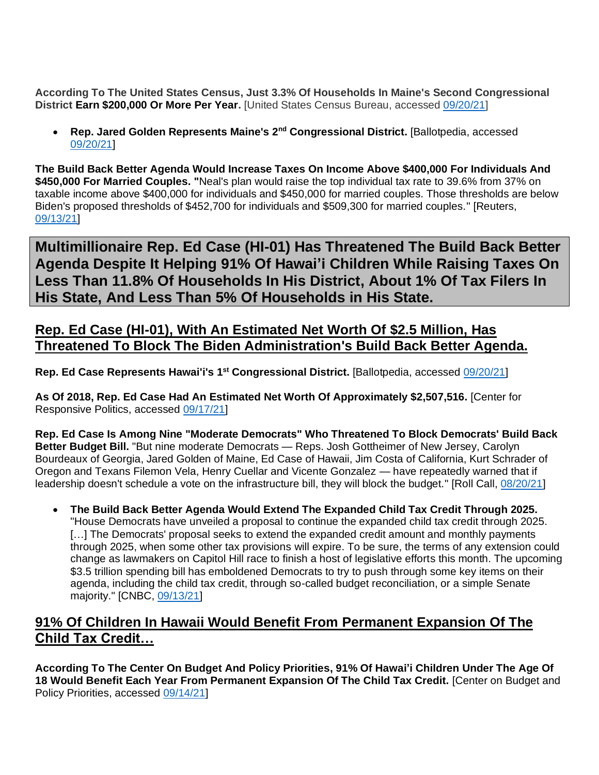**According To The United States Census, Just 3.3% Of Households In Maine's Second Congressional District Earn \$200,000 Or More Per Year.** [United States Census Bureau, accessed [09/20/21\]](https://data.census.gov/cedsci/table?t=Income%20and%20Poverty&g=5001600US2302&tid=ACSST1Y2019.S1901&hidePreview=true)

• **Rep. Jared Golden Represents Maine's 2nd Congressional District.** [Ballotpedia, accessed [09/20/21\]](https://ballotpedia.org/Jared_Golden)

**The Build Back Better Agenda Would Increase Taxes On Income Above \$400,000 For Individuals And \$450,000 For Married Couples. "**Neal's plan would raise the top individual tax rate to 39.6% from 37% on taxable income above \$400,000 for individuals and \$450,000 for married couples. Those thresholds are below Biden's proposed thresholds of \$452,700 for individuals and \$509,300 for married couples." [Reuters, [09/13/21\]](https://www.reuters.com/world/us/us-house-democrats-seek-corporate-tax-increase-265-percent-2021-09-13/)

<span id="page-9-0"></span>**Multimillionaire Rep. Ed Case (HI-01) Has Threatened The Build Back Better Agenda Despite It Helping 91% Of Hawai'i Children While Raising Taxes On Less Than 11.8% Of Households In His District, About 1% Of Tax Filers In His State, And Less Than 5% Of Households in His State.**

### **Rep. Ed Case (HI-01), With An Estimated Net Worth Of \$2.5 Million, Has Threatened To Block The Biden Administration's Build Back Better Agenda.**

**Rep. Ed Case Represents Hawai'i's 1 st Congressional District.** [Ballotpedia, accessed [09/20/21\]](https://ballotpedia.org/Ed_Case)

**As Of 2018, Rep. Ed Case Had An Estimated Net Worth Of Approximately \$2,507,516.** [Center for Responsive Politics, accessed [09/17/21\]](https://www.opensecrets.org/personal-finances/ed-case/net-worth?cid=N00025882)

**Rep. Ed Case Is Among Nine "Moderate Democrats" Who Threatened To Block Democrats' Build Back Better Budget Bill.** "But nine moderate Democrats — Reps. Josh Gottheimer of New Jersey, Carolyn Bourdeaux of Georgia, Jared Golden of Maine, Ed Case of Hawaii, Jim Costa of California, Kurt Schrader of Oregon and Texans Filemon Vela, Henry Cuellar and Vicente Gonzalez — have repeatedly warned that if leadership doesn't schedule a vote on the infrastructure bill, they will block the budget." [Roll Call, [08/20/21\]](https://www.rollcall.com/2021/08/20/nine-democrats-hold-firm-on-opposing-budget-without-infrastructure-vote-first/)

• **The Build Back Better Agenda Would Extend The Expanded Child Tax Credit Through 2025.**  "House Democrats have unveiled a proposal to continue the expanded child tax credit through 2025. [...] The Democrats' proposal seeks to extend the expanded credit amount and monthly payments through 2025, when some other tax provisions will expire. To be sure, the terms of any extension could change as lawmakers on Capitol Hill race to finish a host of legislative efforts this month. The upcoming \$3.5 trillion spending bill has emboldened Democrats to try to push through some key items on their agenda, including the child tax credit, through so-called budget reconciliation, or a simple Senate majority." [CNBC, [09/13/21\]](https://www.cnbc.com/2021/09/13/house-democrats-propose-extending-expanded-child-tax-credit-to-2025.html)

### **91% Of Children In Hawaii Would Benefit From Permanent Expansion Of The Child Tax Credit…**

**According To The Center On Budget And Policy Priorities, 91% Of Hawai'i Children Under The Age Of 18 Would Benefit Each Year From Permanent Expansion Of The Child Tax Credit.** [Center on Budget and Policy Priorities, accessed [09/14/21\]](https://www.cbpp.org/research/federal-tax/congress-should-adopt-american-families-plans-permanent-expansions-of-child)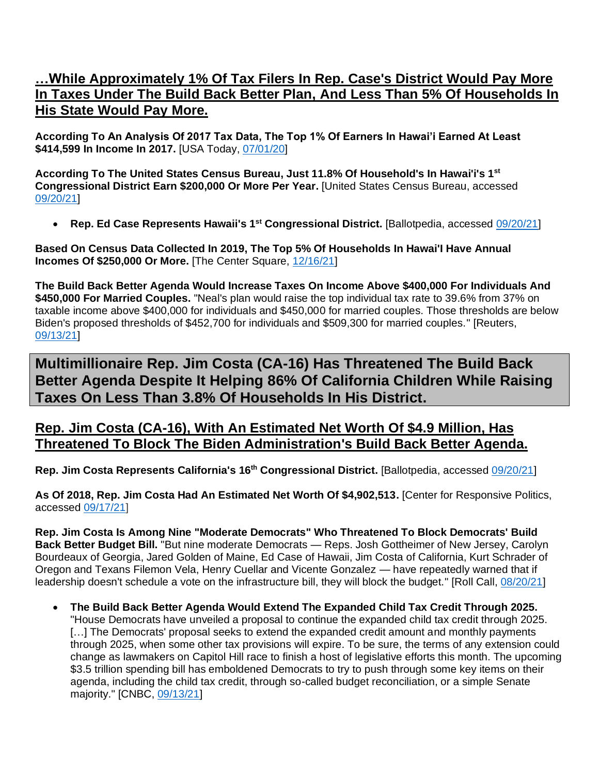### **…While Approximately 1% Of Tax Filers In Rep. Case's District Would Pay More In Taxes Under The Build Back Better Plan, And Less Than 5% Of Households In His State Would Pay More.**

**According To An Analysis Of 2017 Tax Data, The Top 1% Of Earners In Hawai'i Earned At Least \$414,599 In Income In 2017.** [USA Today, [07/01/20\]](https://www.usatoday.com/story/money/2020/07/01/how-much-you-need-to-make-to-be-in-the-1-in-every-state/112002276/)

**According To The United States Census Bureau, Just 11.8% Of Household's In Hawai'i's 1 st Congressional District Earn \$200,000 Or More Per Year.** [United States Census Bureau, accessed [09/20/21\]](https://data.census.gov/cedsci/table?t=Income%20and%20Poverty&g=5001600US1501&tid=ACSST1Y2019.S1901&hidePreview=true)

• **Rep. Ed Case Represents Hawaii's 1st Congressional District.** [Ballotpedia, accessed [09/20/21\]](https://ballotpedia.org/Ed_Case)

**Based On Census Data Collected In 2019, The Top 5% Of Households In Hawai'I Have Annual Incomes Of \$250,000 Or More.** [The Center Square, [12/16/21\]](https://www.thecentersquare.com/new_hampshire/new-hampshire-households-must-make-at-least-145-865-to-be-in-state-s-top/article_d1aa9d1e-39d3-11eb-86a4-3f0b19256c51.html)

**The Build Back Better Agenda Would Increase Taxes On Income Above \$400,000 For Individuals And \$450,000 For Married Couples.** "Neal's plan would raise the top individual tax rate to 39.6% from 37% on taxable income above \$400,000 for individuals and \$450,000 for married couples. Those thresholds are below Biden's proposed thresholds of \$452,700 for individuals and \$509,300 for married couples." [Reuters, [09/13/21\]](https://www.reuters.com/world/us/us-house-democrats-seek-corporate-tax-increase-265-percent-2021-09-13/)

<span id="page-10-0"></span>**Multimillionaire Rep. Jim Costa (CA-16) Has Threatened The Build Back Better Agenda Despite It Helping 86% Of California Children While Raising Taxes On Less Than 3.8% Of Households In His District.**

#### **Rep. Jim Costa (CA-16), With An Estimated Net Worth Of \$4.9 Million, Has Threatened To Block The Biden Administration's Build Back Better Agenda.**

**Rep. Jim Costa Represents California's 16th Congressional District.** [Ballotpedia, accessed [09/20/21\]](https://ballotpedia.org/Jim_Costa)

**As Of 2018, Rep. Jim Costa Had An Estimated Net Worth Of \$4,902,513.** [Center for Responsive Politics, accessed [09/17/21\]](https://www.opensecrets.org/personal-finances/jim-costa/net-worth?cid=N00026341)

**Rep. Jim Costa Is Among Nine "Moderate Democrats" Who Threatened To Block Democrats' Build Back Better Budget Bill.** "But nine moderate Democrats — Reps. Josh Gottheimer of New Jersey, Carolyn Bourdeaux of Georgia, Jared Golden of Maine, Ed Case of Hawaii, Jim Costa of California, Kurt Schrader of Oregon and Texans Filemon Vela, Henry Cuellar and Vicente Gonzalez — have repeatedly warned that if leadership doesn't schedule a vote on the infrastructure bill, they will block the budget." [Roll Call, [08/20/21\]](https://www.rollcall.com/2021/08/20/nine-democrats-hold-firm-on-opposing-budget-without-infrastructure-vote-first/)

• **The Build Back Better Agenda Would Extend The Expanded Child Tax Credit Through 2025.**  "House Democrats have unveiled a proposal to continue the expanded child tax credit through 2025. [...] The Democrats' proposal seeks to extend the expanded credit amount and monthly payments through 2025, when some other tax provisions will expire. To be sure, the terms of any extension could change as lawmakers on Capitol Hill race to finish a host of legislative efforts this month. The upcoming \$3.5 trillion spending bill has emboldened Democrats to try to push through some key items on their agenda, including the child tax credit, through so-called budget reconciliation, or a simple Senate majority." [CNBC, [09/13/21\]](https://www.cnbc.com/2021/09/13/house-democrats-propose-extending-expanded-child-tax-credit-to-2025.html)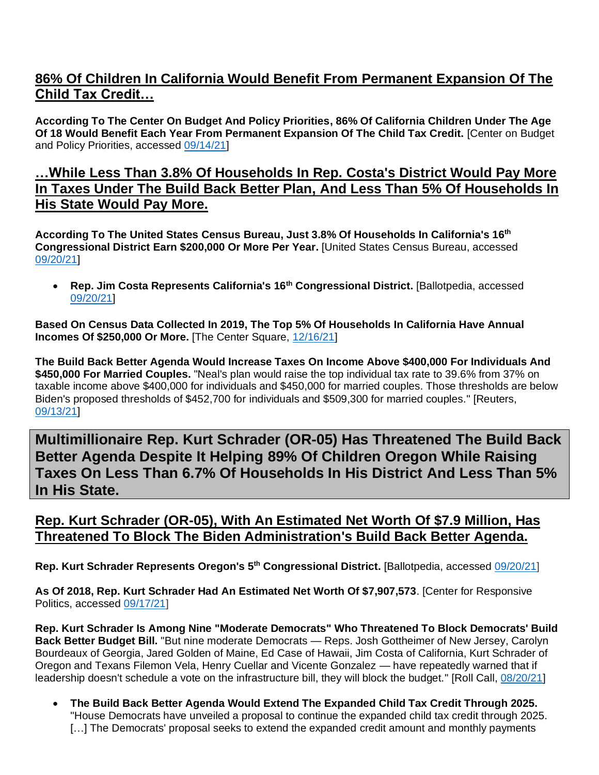### **86% Of Children In California Would Benefit From Permanent Expansion Of The Child Tax Credit…**

**According To The Center On Budget And Policy Priorities, 86% Of California Children Under The Age Of 18 Would Benefit Each Year From Permanent Expansion Of The Child Tax Credit.** [Center on Budget and Policy Priorities, accessed [09/14/21\]](https://www.cbpp.org/research/federal-tax/congress-should-adopt-american-families-plans-permanent-expansions-of-child)

#### **…While Less Than 3.8% Of Households In Rep. Costa's District Would Pay More In Taxes Under The Build Back Better Plan, And Less Than 5% Of Households In His State Would Pay More.**

**According To The United States Census Bureau, Just 3.8% Of Households In California's 16th Congressional District Earn \$200,000 Or More Per Year.** [United States Census Bureau, accessed [09/20/21\]](https://data.census.gov/cedsci/table?t=Income%20and%20Poverty&g=5001600US0616&tid=ACSST1Y2019.S1901&hidePreview=true)

• **Rep. Jim Costa Represents California's 16th Congressional District.** [Ballotpedia, accessed [09/20/21\]](https://ballotpedia.org/Jim_Costa)

**Based On Census Data Collected In 2019, The Top 5% Of Households In California Have Annual Incomes Of \$250,000 Or More.** [The Center Square, [12/16/21\]](https://www.thecentersquare.com/new_hampshire/new-hampshire-households-must-make-at-least-145-865-to-be-in-state-s-top/article_d1aa9d1e-39d3-11eb-86a4-3f0b19256c51.html)

**The Build Back Better Agenda Would Increase Taxes On Income Above \$400,000 For Individuals And \$450,000 For Married Couples.** "Neal's plan would raise the top individual tax rate to 39.6% from 37% on taxable income above \$400,000 for individuals and \$450,000 for married couples. Those thresholds are below Biden's proposed thresholds of \$452,700 for individuals and \$509,300 for married couples." [Reuters, [09/13/21\]](https://www.reuters.com/world/us/us-house-democrats-seek-corporate-tax-increase-265-percent-2021-09-13/)

<span id="page-11-0"></span>**Multimillionaire Rep. Kurt Schrader (OR-05) Has Threatened The Build Back Better Agenda Despite It Helping 89% Of Children Oregon While Raising Taxes On Less Than 6.7% Of Households In His District And Less Than 5% In His State.**

### **Rep. Kurt Schrader (OR-05), With An Estimated Net Worth Of \$7.9 Million, Has Threatened To Block The Biden Administration's Build Back Better Agenda.**

**Rep. Kurt Schrader Represents Oregon's 5 th Congressional District.** [Ballotpedia, accessed [09/20/21\]](https://ballotpedia.org/Kurt_Schrader)

**As Of 2018, Rep. Kurt Schrader Had An Estimated Net Worth Of \$7,907,573**. [Center for Responsive Politics, accessed [09/17/21\]](https://www.opensecrets.org/personal-finances/net-worth?cid=N00030071&year=2018)

**Rep. Kurt Schrader Is Among Nine "Moderate Democrats" Who Threatened To Block Democrats' Build Back Better Budget Bill.** "But nine moderate Democrats — Reps. Josh Gottheimer of New Jersey, Carolyn Bourdeaux of Georgia, Jared Golden of Maine, Ed Case of Hawaii, Jim Costa of California, Kurt Schrader of Oregon and Texans Filemon Vela, Henry Cuellar and Vicente Gonzalez — have repeatedly warned that if leadership doesn't schedule a vote on the infrastructure bill, they will block the budget." [Roll Call, [08/20/21\]](https://www.rollcall.com/2021/08/20/nine-democrats-hold-firm-on-opposing-budget-without-infrastructure-vote-first/)

• **The Build Back Better Agenda Would Extend The Expanded Child Tax Credit Through 2025.**  "House Democrats have unveiled a proposal to continue the expanded child tax credit through 2025. [...] The Democrats' proposal seeks to extend the expanded credit amount and monthly payments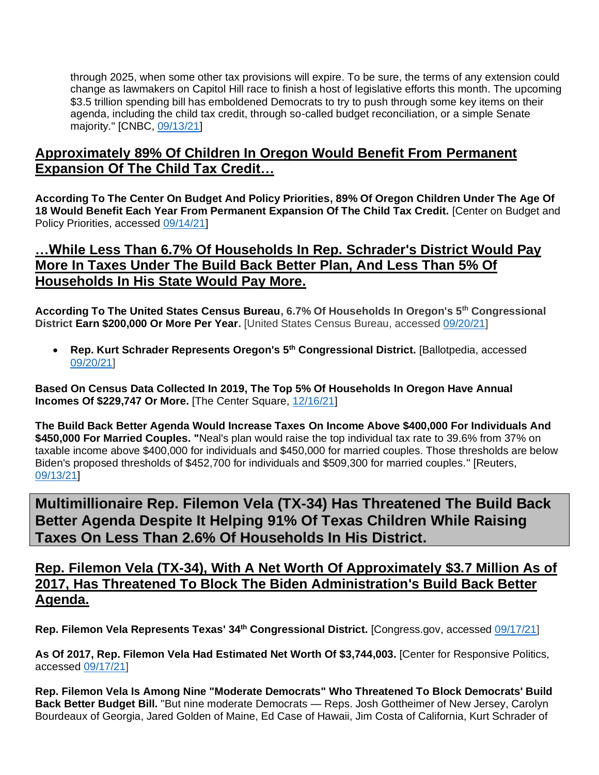through 2025, when some other tax provisions will expire. To be sure, the terms of any extension could change as lawmakers on Capitol Hill race to finish a host of legislative efforts this month. The upcoming \$3.5 trillion spending bill has emboldened Democrats to try to push through some key items on their agenda, including the child tax credit, through so-called budget reconciliation, or a simple Senate majority." [CNBC, [09/13/21\]](https://www.cnbc.com/2021/09/13/house-democrats-propose-extending-expanded-child-tax-credit-to-2025.html)

#### **Approximately 89% Of Children In Oregon Would Benefit From Permanent Expansion Of The Child Tax Credit…**

**According To The Center On Budget And Policy Priorities, 89% Of Oregon Children Under The Age Of 18 Would Benefit Each Year From Permanent Expansion Of The Child Tax Credit.** [Center on Budget and Policy Priorities, accessed [09/14/21\]](https://www.cbpp.org/research/federal-tax/congress-should-adopt-american-families-plans-permanent-expansions-of-child)

### **…While Less Than 6.7% Of Households In Rep. Schrader's District Would Pay More In Taxes Under The Build Back Better Plan, And Less Than 5% Of Households In His State Would Pay More.**

**According To The United States Census Bureau, 6.7% Of Households In Oregon's 5 th Congressional District Earn \$200,000 Or More Per Year.** [United States Census Bureau, accessed [09/20/21\]](https://data.census.gov/cedsci/table?t=Income%20and%20Poverty&g=5001600US4105&tid=ACSST1Y2019.S1901&hidePreview=true)

• **Rep. Kurt Schrader Represents Oregon's 5th Congressional District.** [Ballotpedia, accessed [09/20/21\]](https://ballotpedia.org/Kurt_Schrader)

**Based On Census Data Collected In 2019, The Top 5% Of Households In Oregon Have Annual Incomes Of \$229,747 Or More.** [The Center Square, [12/16/21\]](https://www.thecentersquare.com/new_hampshire/new-hampshire-households-must-make-at-least-145-865-to-be-in-state-s-top/article_d1aa9d1e-39d3-11eb-86a4-3f0b19256c51.html)

**The Build Back Better Agenda Would Increase Taxes On Income Above \$400,000 For Individuals And \$450,000 For Married Couples. "**Neal's plan would raise the top individual tax rate to 39.6% from 37% on taxable income above \$400,000 for individuals and \$450,000 for married couples. Those thresholds are below Biden's proposed thresholds of \$452,700 for individuals and \$509,300 for married couples." [Reuters, [09/13/21\]](https://www.reuters.com/world/us/us-house-democrats-seek-corporate-tax-increase-265-percent-2021-09-13/)

<span id="page-12-0"></span>**Multimillionaire Rep. Filemon Vela (TX-34) Has Threatened The Build Back Better Agenda Despite It Helping 91% Of Texas Children While Raising Taxes On Less Than 2.6% Of Households In His District.** 

### **Rep. Filemon Vela (TX-34), With A Net Worth Of Approximately \$3.7 Million As of 2017, Has Threatened To Block The Biden Administration's Build Back Better Agenda.**

**Rep. Filemon Vela Represents Texas' 34th Congressional District.** [Congress.gov, accessed [09/17/21\]](https://www.congress.gov/member/filemon-vela/V000132)

**As Of 2017, Rep. Filemon Vela Had Estimated Net Worth Of \$3,744,003.** [Center for Responsive Politics, accessed [09/17/21\]](https://www.opensecrets.org/personal-finances/net-worth?cid=N00034349&year=2017)

**Rep. Filemon Vela Is Among Nine "Moderate Democrats" Who Threatened To Block Democrats' Build Back Better Budget Bill.** "But nine moderate Democrats — Reps. Josh Gottheimer of New Jersey, Carolyn Bourdeaux of Georgia, Jared Golden of Maine, Ed Case of Hawaii, Jim Costa of California, Kurt Schrader of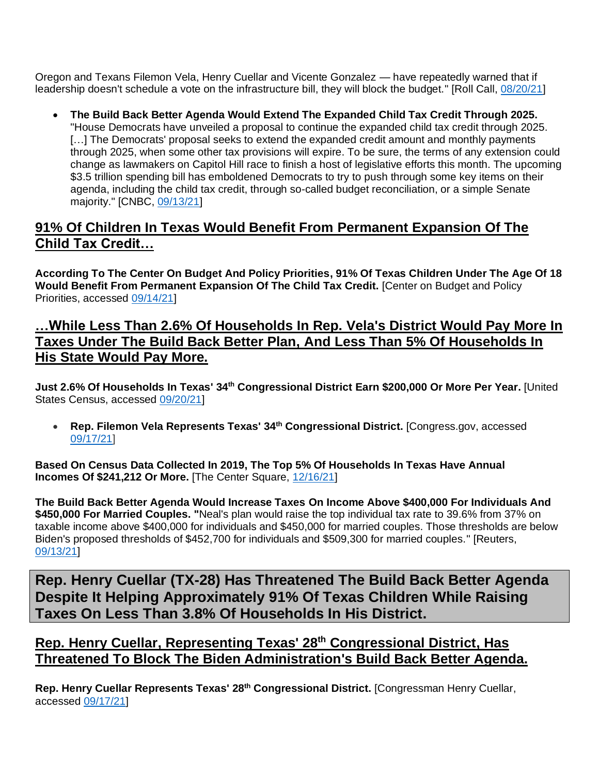Oregon and Texans Filemon Vela, Henry Cuellar and Vicente Gonzalez — have repeatedly warned that if leadership doesn't schedule a vote on the infrastructure bill, they will block the budget." [Roll Call, [08/20/21\]](https://www.rollcall.com/2021/08/20/nine-democrats-hold-firm-on-opposing-budget-without-infrastructure-vote-first/)

• **The Build Back Better Agenda Would Extend The Expanded Child Tax Credit Through 2025.**  "House Democrats have unveiled a proposal to continue the expanded child tax credit through 2025. [...] The Democrats' proposal seeks to extend the expanded credit amount and monthly payments through 2025, when some other tax provisions will expire. To be sure, the terms of any extension could change as lawmakers on Capitol Hill race to finish a host of legislative efforts this month. The upcoming \$3.5 trillion spending bill has emboldened Democrats to try to push through some key items on their agenda, including the child tax credit, through so-called budget reconciliation, or a simple Senate majority." [CNBC, [09/13/21\]](https://www.cnbc.com/2021/09/13/house-democrats-propose-extending-expanded-child-tax-credit-to-2025.html)

### **91% Of Children In Texas Would Benefit From Permanent Expansion Of The Child Tax Credit…**

**According To The Center On Budget And Policy Priorities, 91% Of Texas Children Under The Age Of 18**  Would Benefit From Permanent Expansion Of The Child Tax Credit. **[Center on Budget and Policy** Priorities, accessed [09/14/21\]](https://www.cbpp.org/research/federal-tax/congress-should-adopt-american-families-plans-permanent-expansions-of-child)

### **…While Less Than 2.6% Of Households In Rep. Vela's District Would Pay More In Taxes Under The Build Back Better Plan, And Less Than 5% Of Households In His State Would Pay More.**

**Just 2.6% Of Households In Texas' 34th Congressional District Earn \$200,000 Or More Per Year.** [United States Census, accessed [09/20/21\]](https://data.census.gov/cedsci/table?q=Congressional%20District%2034,%20Texas&t=Income%20and%20Poverty&tid=ACSST1Y2019.S1901)

• **Rep. Filemon Vela Represents Texas' 34th Congressional District.** [Congress.gov, accessed [09/17/21\]](https://www.congress.gov/member/filemon-vela/V000132)

**Based On Census Data Collected In 2019, The Top 5% Of Households In Texas Have Annual Incomes Of \$241,212 Or More.** [The Center Square, [12/16/21\]](https://www.thecentersquare.com/new_hampshire/new-hampshire-households-must-make-at-least-145-865-to-be-in-state-s-top/article_d1aa9d1e-39d3-11eb-86a4-3f0b19256c51.html)

**The Build Back Better Agenda Would Increase Taxes On Income Above \$400,000 For Individuals And \$450,000 For Married Couples. "**Neal's plan would raise the top individual tax rate to 39.6% from 37% on taxable income above \$400,000 for individuals and \$450,000 for married couples. Those thresholds are below Biden's proposed thresholds of \$452,700 for individuals and \$509,300 for married couples." [Reuters, [09/13/21\]](https://www.reuters.com/world/us/us-house-democrats-seek-corporate-tax-increase-265-percent-2021-09-13/)

<span id="page-13-0"></span>**Rep. Henry Cuellar (TX-28) Has Threatened The Build Back Better Agenda Despite It Helping Approximately 91% Of Texas Children While Raising Taxes On Less Than 3.8% Of Households In His District.** 

**Rep. Henry Cuellar, Representing Texas' 28th Congressional District, Has Threatened To Block The Biden Administration's Build Back Better Agenda.**

**Rep. Henry Cuellar Represents Texas' 28th Congressional District.** [Congressman Henry Cuellar, accessed [09/17/21\]](https://cuellar.house.gov/)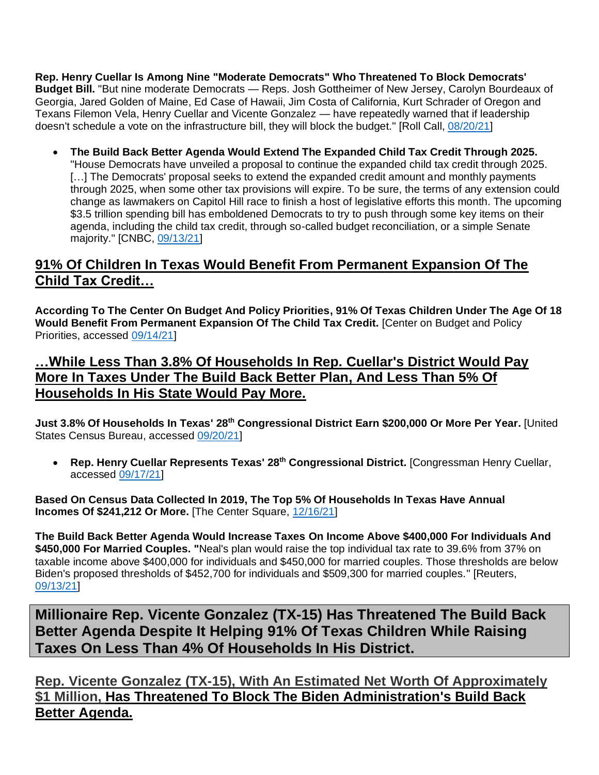**Rep. Henry Cuellar Is Among Nine "Moderate Democrats" Who Threatened To Block Democrats' Budget Bill.** "But nine moderate Democrats — Reps. Josh Gottheimer of New Jersey, Carolyn Bourdeaux of Georgia, Jared Golden of Maine, Ed Case of Hawaii, Jim Costa of California, Kurt Schrader of Oregon and Texans Filemon Vela, Henry Cuellar and Vicente Gonzalez — have repeatedly warned that if leadership doesn't schedule a vote on the infrastructure bill, they will block the budget." [Roll Call, [08/20/21\]](https://www.rollcall.com/2021/08/20/nine-democrats-hold-firm-on-opposing-budget-without-infrastructure-vote-first/)

• **The Build Back Better Agenda Would Extend The Expanded Child Tax Credit Through 2025.**  "House Democrats have unveiled a proposal to continue the expanded child tax credit through 2025. [...] The Democrats' proposal seeks to extend the expanded credit amount and monthly payments through 2025, when some other tax provisions will expire. To be sure, the terms of any extension could change as lawmakers on Capitol Hill race to finish a host of legislative efforts this month. The upcoming \$3.5 trillion spending bill has emboldened Democrats to try to push through some key items on their agenda, including the child tax credit, through so-called budget reconciliation, or a simple Senate majority." [CNBC, [09/13/21\]](https://www.cnbc.com/2021/09/13/house-democrats-propose-extending-expanded-child-tax-credit-to-2025.html)

## **91% Of Children In Texas Would Benefit From Permanent Expansion Of The Child Tax Credit…**

**According To The Center On Budget And Policy Priorities, 91% Of Texas Children Under The Age Of 18**  Would Benefit From Permanent Expansion Of The Child Tax Credit. **[Center on Budget and Policy** Priorities, accessed [09/14/21\]](https://www.cbpp.org/research/federal-tax/congress-should-adopt-american-families-plans-permanent-expansions-of-child)

**…While Less Than 3.8% Of Households In Rep. Cuellar's District Would Pay More In Taxes Under The Build Back Better Plan, And Less Than 5% Of Households In His State Would Pay More.**

**Just 3.8% Of Households In Texas' 28th Congressional District Earn \$200,000 Or More Per Year.** [United States Census Bureau, accessed [09/20/21\]](https://data.census.gov/cedsci/table?t=Income%20and%20Poverty&g=5001600US4828&tid=ACSST1Y2019.S1901&hidePreview=true)

• **Rep. Henry Cuellar Represents Texas' 28th Congressional District.** [Congressman Henry Cuellar, accessed [09/17/21\]](https://cuellar.house.gov/)

**Based On Census Data Collected In 2019, The Top 5% Of Households In Texas Have Annual Incomes Of \$241,212 Or More.** [The Center Square, [12/16/21\]](https://www.thecentersquare.com/new_hampshire/new-hampshire-households-must-make-at-least-145-865-to-be-in-state-s-top/article_d1aa9d1e-39d3-11eb-86a4-3f0b19256c51.html)

**The Build Back Better Agenda Would Increase Taxes On Income Above \$400,000 For Individuals And \$450,000 For Married Couples. "**Neal's plan would raise the top individual tax rate to 39.6% from 37% on taxable income above \$400,000 for individuals and \$450,000 for married couples. Those thresholds are below Biden's proposed thresholds of \$452,700 for individuals and \$509,300 for married couples." [Reuters, [09/13/21\]](https://www.reuters.com/world/us/us-house-democrats-seek-corporate-tax-increase-265-percent-2021-09-13/)

<span id="page-14-0"></span>**Millionaire Rep. Vicente Gonzalez (TX-15) Has Threatened The Build Back Better Agenda Despite It Helping 91% Of Texas Children While Raising Taxes On Less Than 4% Of Households In His District.** 

**Rep. Vicente Gonzalez (TX-15), With An Estimated Net Worth Of Approximately \$1 Million, Has Threatened To Block The Biden Administration's Build Back Better Agenda.**